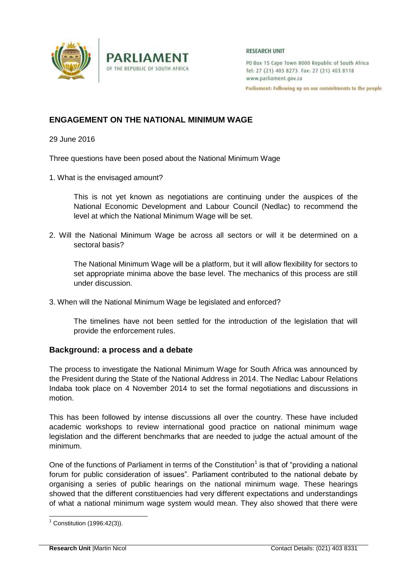

#### **RESEARCH UNIT**

PO Box 15 Cape Town 8000 Republic of South Africa Tel: 27 (21) 403 8273 Fax: 27 (21) 403 8118 www.parliament.gov.za

Parliament: Following up on our commitments to the people

# **ENGAGEMENT ON THE NATIONAL MINIMUM WAGE**

**PARLIAMENT** 

OF THE REPUBLIC OF SOUTH AFRICA

29 June 2016

Three questions have been posed about the National Minimum Wage

1. What is the envisaged amount?

This is not yet known as negotiations are continuing under the auspices of the National Economic Development and Labour Council (Nedlac) to recommend the level at which the National Minimum Wage will be set.

2. Will the National Minimum Wage be across all sectors or will it be determined on a sectoral basis?

The National Minimum Wage will be a platform, but it will allow flexibility for sectors to set appropriate minima above the base level. The mechanics of this process are still under discussion.

3. When will the National Minimum Wage be legislated and enforced?

The timelines have not been settled for the introduction of the legislation that will provide the enforcement rules.

### **Background: a process and a debate**

The process to investigate the National Minimum Wage for South Africa was announced by the President during the State of the National Address in 2014. The Nedlac Labour Relations Indaba took place on 4 November 2014 to set the formal negotiations and discussions in motion.

This has been followed by intense discussions all over the country. These have included academic workshops to review international good practice on national minimum wage legislation and the different benchmarks that are needed to judge the actual amount of the minimum.

One of the functions of Parliament in terms of the Constitution<sup>1</sup> is that of "providing a national forum for public consideration of issues". Parliament contributed to the national debate by organising a series of public hearings on the national minimum wage. These hearings showed that the different constituencies had very different expectations and understandings of what a national minimum wage system would mean. They also showed that there were

-

 $1$  Constitution (1996:42(3)).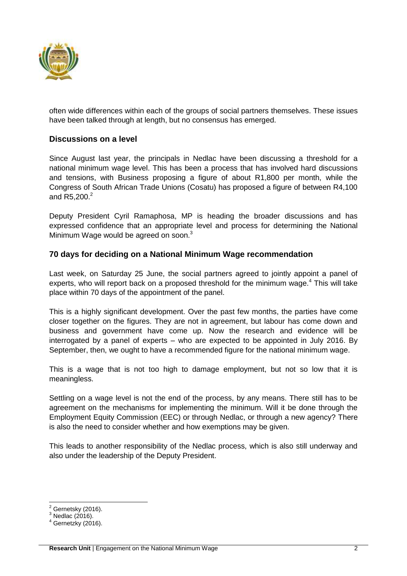

often wide differences within each of the groups of social partners themselves. These issues have been talked through at length, but no consensus has emerged.

# **Discussions on a level**

Since August last year, the principals in Nedlac have been discussing a threshold for a national minimum wage level. This has been a process that has involved hard discussions and tensions, with Business proposing a figure of about R1,800 per month, while the Congress of South African Trade Unions (Cosatu) has proposed a figure of between R4,100 and  $R5,200.<sup>2</sup>$ 

Deputy President Cyril Ramaphosa, MP is heading the broader discussions and has expressed confidence that an appropriate level and process for determining the National Minimum Wage would be agreed on soon.<sup>3</sup>

### **70 days for deciding on a National Minimum Wage recommendation**

Last week, on Saturday 25 June, the social partners agreed to jointly appoint a panel of experts, who will report back on a proposed threshold for the minimum wage.<sup>4</sup> This will take place within 70 days of the appointment of the panel.

This is a highly significant development. Over the past few months, the parties have come closer together on the figures. They are not in agreement, but labour has come down and business and government have come up. Now the research and evidence will be interrogated by a panel of experts – who are expected to be appointed in July 2016. By September, then, we ought to have a recommended figure for the national minimum wage.

This is a wage that is not too high to damage employment, but not so low that it is meaningless.

Settling on a wage level is not the end of the process, by any means. There still has to be agreement on the mechanisms for implementing the minimum. Will it be done through the Employment Equity Commission (EEC) or through Nedlac, or through a new agency? There is also the need to consider whether and how exemptions may be given.

This leads to another responsibility of the Nedlac process, which is also still underway and also under the leadership of the Deputy President.

-

 $2^{2}$  Gernetsky (2016).

 $3$  Nedlac (2016).

Gernetzky (2016).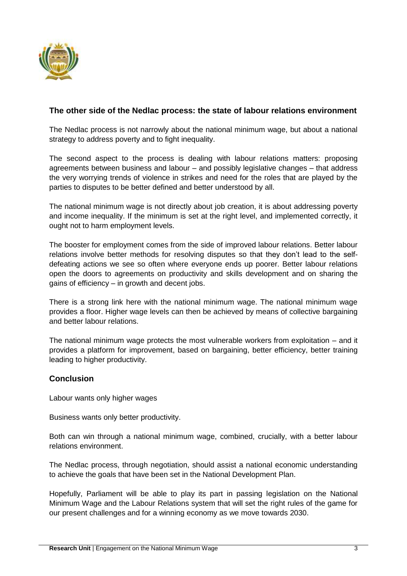

# **The other side of the Nedlac process: the state of labour relations environment**

The Nedlac process is not narrowly about the national minimum wage, but about a national strategy to address poverty and to fight inequality.

The second aspect to the process is dealing with labour relations matters: proposing agreements between business and labour – and possibly legislative changes – that address the very worrying trends of violence in strikes and need for the roles that are played by the parties to disputes to be better defined and better understood by all.

The national minimum wage is not directly about job creation, it is about addressing poverty and income inequality. If the minimum is set at the right level, and implemented correctly, it ought not to harm employment levels.

The booster for employment comes from the side of improved labour relations. Better labour relations involve better methods for resolving disputes so that they don't lead to the selfdefeating actions we see so often where everyone ends up poorer. Better labour relations open the doors to agreements on productivity and skills development and on sharing the gains of efficiency – in growth and decent jobs.

There is a strong link here with the national minimum wage. The national minimum wage provides a floor. Higher wage levels can then be achieved by means of collective bargaining and better labour relations.

The national minimum wage protects the most vulnerable workers from exploitation – and it provides a platform for improvement, based on bargaining, better efficiency, better training leading to higher productivity.

### **Conclusion**

Labour wants only higher wages

Business wants only better productivity.

Both can win through a national minimum wage, combined, crucially, with a better labour relations environment.

The Nedlac process, through negotiation, should assist a national economic understanding to achieve the goals that have been set in the National Development Plan.

Hopefully, Parliament will be able to play its part in passing legislation on the National Minimum Wage and the Labour Relations system that will set the right rules of the game for our present challenges and for a winning economy as we move towards 2030.